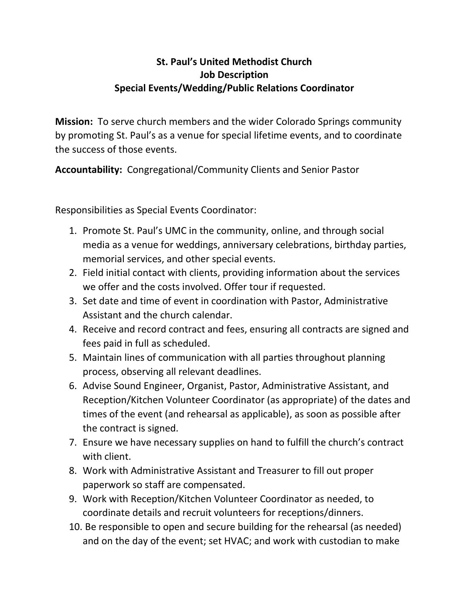## **St. Paul's United Methodist Church Job Description Special Events/Wedding/Public Relations Coordinator**

**Mission:** To serve church members and the wider Colorado Springs community by promoting St. Paul's as a venue for special lifetime events, and to coordinate the success of those events.

**Accountability:** Congregational/Community Clients and Senior Pastor

Responsibilities as Special Events Coordinator:

- 1. Promote St. Paul's UMC in the community, online, and through social media as a venue for weddings, anniversary celebrations, birthday parties, memorial services, and other special events.
- 2. Field initial contact with clients, providing information about the services we offer and the costs involved. Offer tour if requested.
- 3. Set date and time of event in coordination with Pastor, Administrative Assistant and the church calendar.
- 4. Receive and record contract and fees, ensuring all contracts are signed and fees paid in full as scheduled.
- 5. Maintain lines of communication with all parties throughout planning process, observing all relevant deadlines.
- 6. Advise Sound Engineer, Organist, Pastor, Administrative Assistant, and Reception/Kitchen Volunteer Coordinator (as appropriate) of the dates and times of the event (and rehearsal as applicable), as soon as possible after the contract is signed.
- 7. Ensure we have necessary supplies on hand to fulfill the church's contract with client.
- 8. Work with Administrative Assistant and Treasurer to fill out proper paperwork so staff are compensated.
- 9. Work with Reception/Kitchen Volunteer Coordinator as needed, to coordinate details and recruit volunteers for receptions/dinners.
- 10. Be responsible to open and secure building for the rehearsal (as needed) and on the day of the event; set HVAC; and work with custodian to make